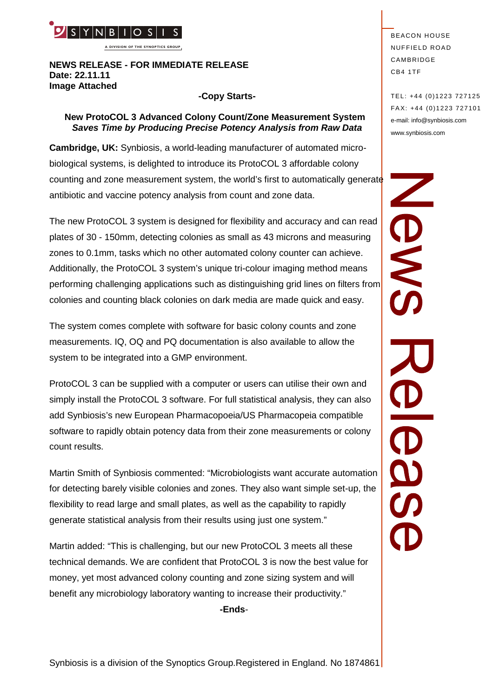

**A DIVISION OF THE SYNOPTICS GROUP**

#### **NEWS RELEASE - FOR IMMEDIATE RELEASE Date: 22.11.11 Image Attached**

#### **-Copy Starts-**

## **New ProtoCOL 3 Advanced Colony Count/Zone Measurement System** *Saves Time by Producing Precise Potency Analysis from Raw Data*

**Cambridge, UK:** Synbiosis, a world-leading manufacturer of automated microbiological systems, is delighted to introduce its ProtoCOL 3 affordable colony counting and zone measurement system, the world's first to automatically generate antibiotic and vaccine potency analysis from count and zone data.

The new ProtoCOL 3 system is designed for flexibility and accuracy and can read plates of 30 - 150mm, detecting colonies as small as 43 microns and measuring zones to 0.1mm, tasks which no other automated colony counter can achieve. Additionally, the ProtoCOL 3 system's unique tri-colour imaging method means performing challenging applications such as distinguishing grid lines on filters from colonies and counting black colonies on dark media are made quick and easy.

The system comes complete with software for basic colony counts and zone measurements. IQ, OQ and PQ documentation is also available to allow the system to be integrated into a GMP environment.

ProtoCOL 3 can be supplied with a computer or users can utilise their own and simply install the ProtoCOL 3 software. For full statistical analysis, they can also add Synbiosis's new European Pharmacopoeia/US Pharmacopeia compatible software to rapidly obtain potency data from their zone measurements or colony count results.

Martin Smith of Synbiosis commented: "Microbiologists want accurate automation for detecting barely visible colonies and zones. They also want simple set-up, the flexibility to read large and small plates, as well as the capability to rapidly generate statistical analysis from their results using just one system."

Martin added: "This is challenging, but our new ProtoCOL 3 meets all these technical demands. We are confident that ProtoCOL 3 is now the best value for money, yet most advanced colony counting and zone sizing system and will benefit any microbiology laboratory wanting to increase their productivity."

**-Ends**-

**BEACON HOUSE NUFFIELD ROAD** CAMBRIDGE CB4 1TF

TEL: +44 (0)1223 727125 FA X: +44 (0)1223 727101 e-mail: info@synbiosis.com www.synbiosis.com

SMO  $\overline{\textbf{59}}$